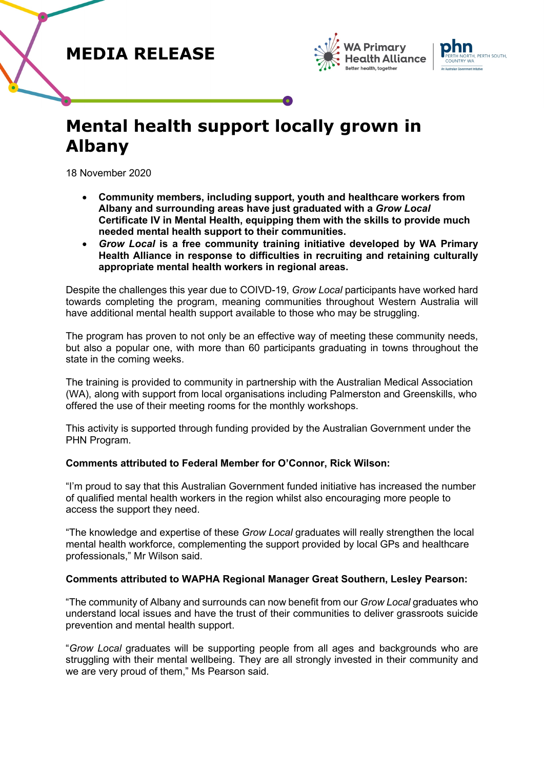## **MEDIA RELEASE**





# **Mental health support locally grown in Albany**

18 November 2020

- **Community members, including support, youth and healthcare workers from Albany and surrounding areas have just graduated with a** *Grow Local* **Certificate IV in Mental Health, equipping them with the skills to provide much needed mental health support to their communities.**
- *Grow Local* **is a free community training initiative developed by WA Primary Health Alliance in response to difficulties in recruiting and retaining culturally appropriate mental health workers in regional areas.**

Despite the challenges this year due to COIVD-19, *Grow Local* participants have worked hard towards completing the program, meaning communities throughout Western Australia will have additional mental health support available to those who may be struggling.

The program has proven to not only be an effective way of meeting these community needs, but also a popular one, with more than 60 participants graduating in towns throughout the state in the coming weeks.

The training is provided to community in partnership with the Australian Medical Association (WA), along with support from local organisations including Palmerston and Greenskills, who offered the use of their meeting rooms for the monthly workshops.

This activity is supported through funding provided by the Australian Government under the PHN Program.

### **Comments attributed to Federal Member for O'Connor, Rick Wilson:**

"I'm proud to say that this Australian Government funded initiative has increased the number of qualified mental health workers in the region whilst also encouraging more people to access the support they need.

"The knowledge and expertise of these *Grow Local* graduates will really strengthen the local mental health workforce, complementing the support provided by local GPs and healthcare professionals," Mr Wilson said.

### **Comments attributed to WAPHA Regional Manager Great Southern, Lesley Pearson:**

"The community of Albany and surrounds can now benefit from our *Grow Local* graduates who understand local issues and have the trust of their communities to deliver grassroots suicide prevention and mental health support.

"*Grow Local* graduates will be supporting people from all ages and backgrounds who are struggling with their mental wellbeing. They are all strongly invested in their community and we are very proud of them," Ms Pearson said.